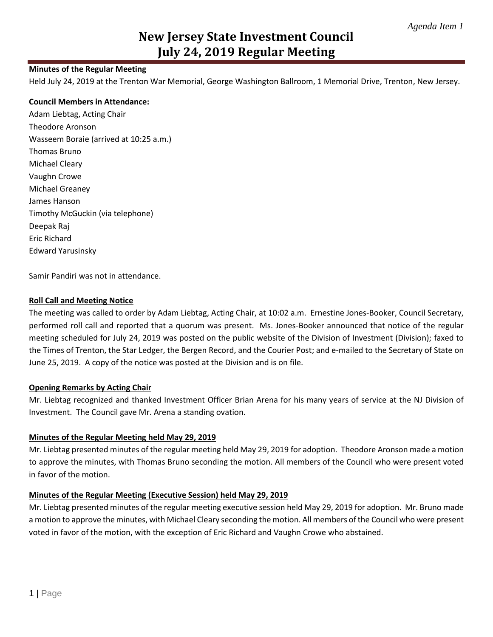# **New Jersey State Investment Council July 24, 2019 Regular Meeting**

## **Minutes of the Regular Meeting**

Held July 24, 2019 at the Trenton War Memorial, George Washington Ballroom, 1 Memorial Drive, Trenton, New Jersey.

#### **Council Members in Attendance:**

Adam Liebtag, Acting Chair Theodore Aronson Wasseem Boraie (arrived at 10:25 a.m.) Thomas Bruno Michael Cleary Vaughn Crowe Michael Greaney James Hanson Timothy McGuckin (via telephone) Deepak Raj Eric Richard Edward Yarusinsky

Samir Pandiri was not in attendance.

### **Roll Call and Meeting Notice**

The meeting was called to order by Adam Liebtag, Acting Chair, at 10:02 a.m. Ernestine Jones-Booker, Council Secretary, performed roll call and reported that a quorum was present. Ms. Jones-Booker announced that notice of the regular meeting scheduled for July 24, 2019 was posted on the public website of the Division of Investment (Division); faxed to the Times of Trenton, the Star Ledger, the Bergen Record, and the Courier Post; and e-mailed to the Secretary of State on June 25, 2019. A copy of the notice was posted at the Division and is on file.

### **Opening Remarks by Acting Chair**

Mr. Liebtag recognized and thanked Investment Officer Brian Arena for his many years of service at the NJ Division of Investment. The Council gave Mr. Arena a standing ovation.

### **Minutes of the Regular Meeting held May 29, 2019**

Mr. Liebtag presented minutes of the regular meeting held May 29, 2019 for adoption. Theodore Aronson made a motion to approve the minutes, with Thomas Bruno seconding the motion. All members of the Council who were present voted in favor of the motion.

### **Minutes of the Regular Meeting (Executive Session) held May 29, 2019**

Mr. Liebtag presented minutes of the regular meeting executive session held May 29, 2019 for adoption. Mr. Bruno made a motion to approve the minutes, with Michael Cleary seconding the motion. All members of the Council who were present voted in favor of the motion, with the exception of Eric Richard and Vaughn Crowe who abstained.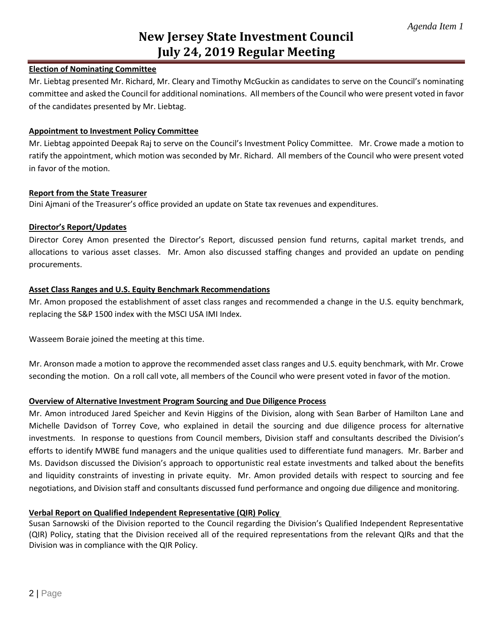## **New Jersey State Investment Council July 24, 2019 Regular Meeting**

## **Election of Nominating Committee**

Mr. Liebtag presented Mr. Richard, Mr. Cleary and Timothy McGuckin as candidates to serve on the Council's nominating committee and asked the Council for additional nominations. All members of the Council who were present voted in favor of the candidates presented by Mr. Liebtag.

## **Appointment to Investment Policy Committee**

Mr. Liebtag appointed Deepak Raj to serve on the Council's Investment Policy Committee. Mr. Crowe made a motion to ratify the appointment, which motion was seconded by Mr. Richard. All members of the Council who were present voted in favor of the motion.

### **Report from the State Treasurer**

Dini Ajmani of the Treasurer's office provided an update on State tax revenues and expenditures.

## **Director's Report/Updates**

Director Corey Amon presented the Director's Report, discussed pension fund returns, capital market trends, and allocations to various asset classes. Mr. Amon also discussed staffing changes and provided an update on pending procurements.

## **Asset Class Ranges and U.S. Equity Benchmark Recommendations**

Mr. Amon proposed the establishment of asset class ranges and recommended a change in the U.S. equity benchmark, replacing the S&P 1500 index with the MSCI USA IMI Index.

Wasseem Boraie joined the meeting at this time.

Mr. Aronson made a motion to approve the recommended asset class ranges and U.S. equity benchmark, with Mr. Crowe seconding the motion. On a roll call vote, all members of the Council who were present voted in favor of the motion.

### **Overview of Alternative Investment Program Sourcing and Due Diligence Process**

Mr. Amon introduced Jared Speicher and Kevin Higgins of the Division, along with Sean Barber of Hamilton Lane and Michelle Davidson of Torrey Cove, who explained in detail the sourcing and due diligence process for alternative investments. In response to questions from Council members, Division staff and consultants described the Division's efforts to identify MWBE fund managers and the unique qualities used to differentiate fund managers. Mr. Barber and Ms. Davidson discussed the Division's approach to opportunistic real estate investments and talked about the benefits and liquidity constraints of investing in private equity. Mr. Amon provided details with respect to sourcing and fee negotiations, and Division staff and consultants discussed fund performance and ongoing due diligence and monitoring.

## **Verbal Report on Qualified Independent Representative (QIR) Policy**

Susan Sarnowski of the Division reported to the Council regarding the Division's Qualified Independent Representative (QIR) Policy, stating that the Division received all of the required representations from the relevant QIRs and that the Division was in compliance with the QIR Policy.